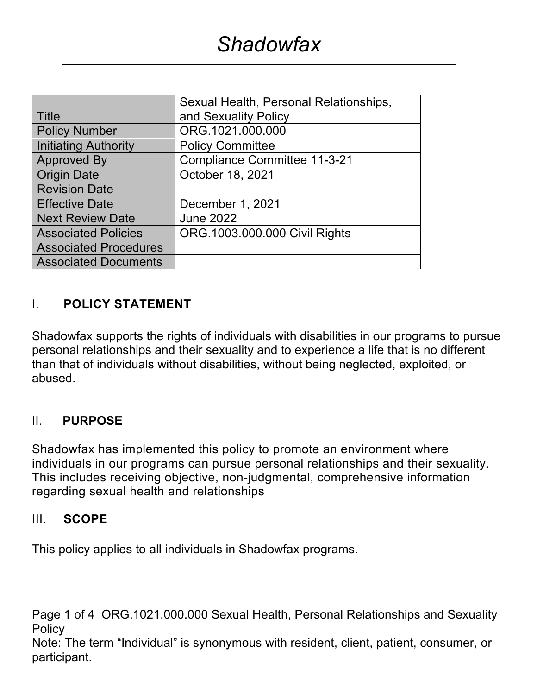|                              | Sexual Health, Personal Relationships, |
|------------------------------|----------------------------------------|
| l Title                      | and Sexuality Policy                   |
| <b>Policy Number</b>         | ORG.1021.000.000                       |
| Initiating Authority         | <b>Policy Committee</b>                |
| <b>Approved By</b>           | <b>Compliance Committee 11-3-21</b>    |
| <b>Origin Date</b>           | October 18, 2021                       |
| <b>Revision Date</b>         |                                        |
| <b>Effective Date</b>        | December 1, 2021                       |
| <b>Next Review Date</b>      | <b>June 2022</b>                       |
| <b>Associated Policies</b>   | ORG.1003.000.000 Civil Rights          |
| <b>Associated Procedures</b> |                                        |
| <b>Associated Documents</b>  |                                        |

#### I. **POLICY STATEMENT**

Shadowfax supports the rights of individuals with disabilities in our programs to pursue personal relationships and their sexuality and to experience a life that is no different than that of individuals without disabilities, without being neglected, exploited, or abused.

#### II. **PURPOSE**

Shadowfax has implemented this policy to promote an environment where individuals in our programs can pursue personal relationships and their sexuality. This includes receiving objective, non-judgmental, comprehensive information regarding sexual health and relationships

#### III. **SCOPE**

This policy applies to all individuals in Shadowfax programs.

Page 1 of 4 ORG.1021.000.000 Sexual Health, Personal Relationships and Sexuality **Policy**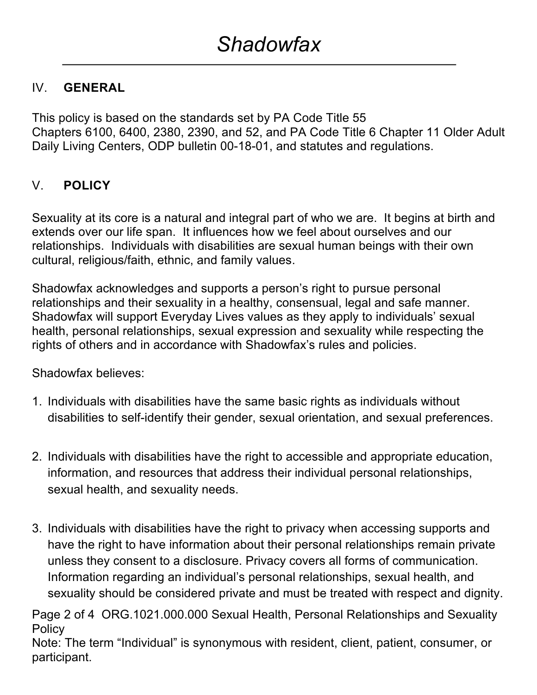## IV. **GENERAL**

This policy is based on the standards set by PA Code Title 55 Chapters 6100, 6400, 2380, 2390, and 52, and PA Code Title 6 Chapter 11 Older Adult Daily Living Centers, ODP bulletin 00-18-01, and statutes and regulations.

## V. **POLICY**

Sexuality at its core is a natural and integral part of who we are. It begins at birth and extends over our life span. It influences how we feel about ourselves and our relationships. Individuals with disabilities are sexual human beings with their own cultural, religious/faith, ethnic, and family values.

Shadowfax acknowledges and supports a person's right to pursue personal relationships and their sexuality in a healthy, consensual, legal and safe manner. Shadowfax will support Everyday Lives values as they apply to individuals' sexual health, personal relationships, sexual expression and sexuality while respecting the rights of others and in accordance with Shadowfax's rules and policies.

Shadowfax believes:

- 1. Individuals with disabilities have the same basic rights as individuals without disabilities to self-identify their gender, sexual orientation, and sexual preferences.
- 2. Individuals with disabilities have the right to accessible and appropriate education, information, and resources that address their individual personal relationships, sexual health, and sexuality needs.
- 3. Individuals with disabilities have the right to privacy when accessing supports and have the right to have information about their personal relationships remain private unless they consent to a disclosure. Privacy covers all forms of communication. Information regarding an individual's personal relationships, sexual health, and sexuality should be considered private and must be treated with respect and dignity.

Page 2 of 4 ORG.1021.000.000 Sexual Health, Personal Relationships and Sexuality **Policy**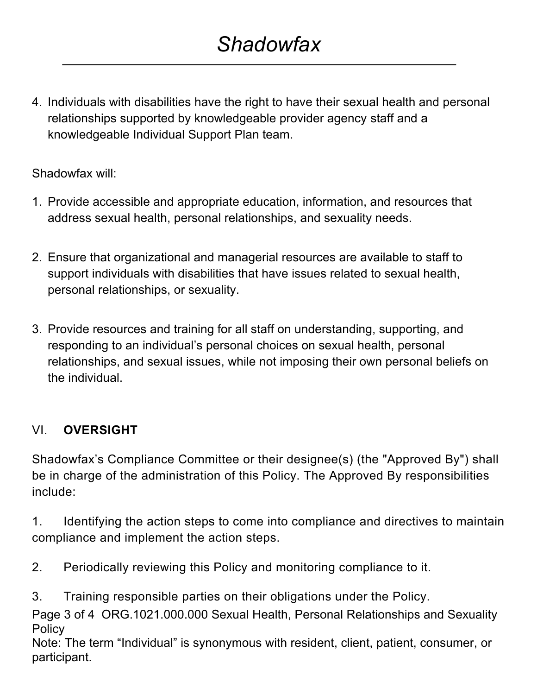4. Individuals with disabilities have the right to have their sexual health and personal relationships supported by knowledgeable provider agency staff and a knowledgeable Individual Support Plan team.

## Shadowfax will:

- 1. Provide accessible and appropriate education, information, and resources that address sexual health, personal relationships, and sexuality needs.
- 2. Ensure that organizational and managerial resources are available to staff to support individuals with disabilities that have issues related to sexual health, personal relationships, or sexuality.
- 3. Provide resources and training for all staff on understanding, supporting, and responding to an individual's personal choices on sexual health, personal relationships, and sexual issues, while not imposing their own personal beliefs on the individual.

# VI. **OVERSIGHT**

Shadowfax's Compliance Committee or their designee(s) (the "Approved By") shall be in charge of the administration of this Policy. The Approved By responsibilities include:

1. Identifying the action steps to come into compliance and directives to maintain compliance and implement the action steps.

- 2. Periodically reviewing this Policy and monitoring compliance to it.
- 3. Training responsible parties on their obligations under the Policy.

Page 3 of 4 ORG.1021.000.000 Sexual Health, Personal Relationships and Sexuality Policy